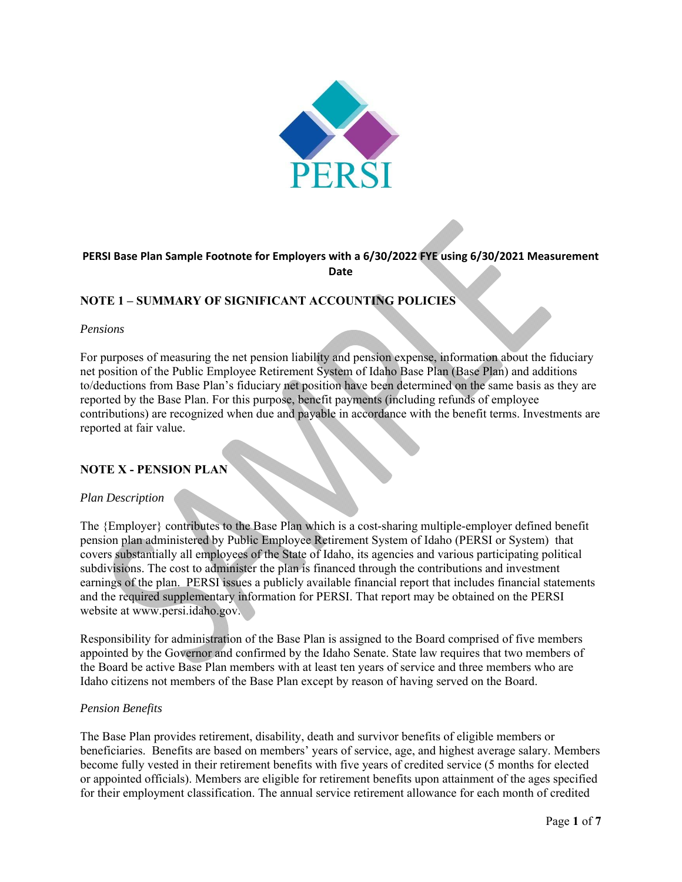

# **PERSI Base Plan Sample Footnote for Employers with a 6/30/2022 FYE using 6/30/2021 Measurement Date**

# **NOTE 1 – SUMMARY OF SIGNIFICANT ACCOUNTING POLICIES**

#### *Pensions*

For purposes of measuring the net pension liability and pension expense, information about the fiduciary net position of the Public Employee Retirement System of Idaho Base Plan (Base Plan) and additions to/deductions from Base Plan's fiduciary net position have been determined on the same basis as they are reported by the Base Plan. For this purpose, benefit payments (including refunds of employee contributions) are recognized when due and payable in accordance with the benefit terms. Investments are reported at fair value.

## **NOTE X - PENSION PLAN**

#### *Plan Description*

The {Employer} contributes to the Base Plan which is a cost-sharing multiple-employer defined benefit pension plan administered by Public Employee Retirement System of Idaho (PERSI or System) that covers substantially all employees of the State of Idaho, its agencies and various participating political subdivisions. The cost to administer the plan is financed through the contributions and investment earnings of the plan. PERSI issues a publicly available financial report that includes financial statements and the required supplementary information for PERSI. That report may be obtained on the PERSI website at www.persi.idaho.gov.

Responsibility for administration of the Base Plan is assigned to the Board comprised of five members appointed by the Governor and confirmed by the Idaho Senate. State law requires that two members of the Board be active Base Plan members with at least ten years of service and three members who are Idaho citizens not members of the Base Plan except by reason of having served on the Board.

#### *Pension Benefits*

The Base Plan provides retirement, disability, death and survivor benefits of eligible members or beneficiaries. Benefits are based on members' years of service, age, and highest average salary. Members become fully vested in their retirement benefits with five years of credited service (5 months for elected or appointed officials). Members are eligible for retirement benefits upon attainment of the ages specified for their employment classification. The annual service retirement allowance for each month of credited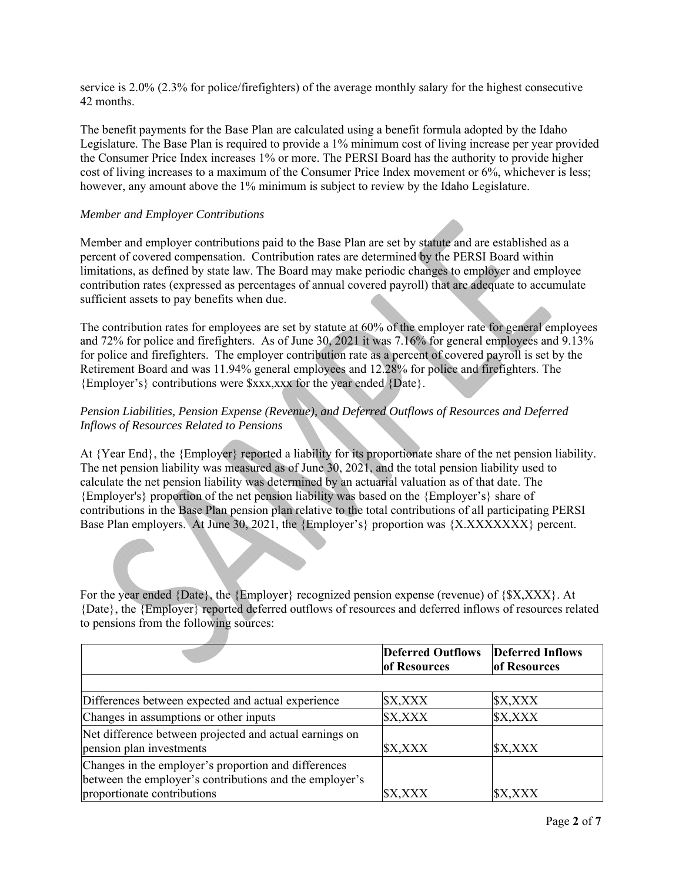service is 2.0% (2.3% for police/firefighters) of the average monthly salary for the highest consecutive 42 months.

The benefit payments for the Base Plan are calculated using a benefit formula adopted by the Idaho Legislature. The Base Plan is required to provide a 1% minimum cost of living increase per year provided the Consumer Price Index increases 1% or more. The PERSI Board has the authority to provide higher cost of living increases to a maximum of the Consumer Price Index movement or 6%, whichever is less; however, any amount above the 1% minimum is subject to review by the Idaho Legislature.

## *Member and Employer Contributions*

Member and employer contributions paid to the Base Plan are set by statute and are established as a percent of covered compensation. Contribution rates are determined by the PERSI Board within limitations, as defined by state law. The Board may make periodic changes to employer and employee contribution rates (expressed as percentages of annual covered payroll) that are adequate to accumulate sufficient assets to pay benefits when due.

The contribution rates for employees are set by statute at 60% of the employer rate for general employees and 72% for police and firefighters. As of June 30, 2021 it was 7.16% for general employees and 9.13% for police and firefighters. The employer contribution rate as a percent of covered payroll is set by the Retirement Board and was 11.94% general employees and 12.28% for police and firefighters. The {Employer's} contributions were \$xxx,xxx for the year ended {Date}.

# *Pension Liabilities, Pension Expense (Revenue), and Deferred Outflows of Resources and Deferred Inflows of Resources Related to Pensions*

At {Year End}, the {Employer} reported a liability for its proportionate share of the net pension liability. The net pension liability was measured as of June 30, 2021, and the total pension liability used to calculate the net pension liability was determined by an actuarial valuation as of that date. The {Employer's} proportion of the net pension liability was based on the {Employer's} share of contributions in the Base Plan pension plan relative to the total contributions of all participating PERSI Base Plan employers. At June 30, 2021, the {Employer's} proportion was {X.XXXXXXX} percent.

For the year ended {Date}, the {Employer} recognized pension expense (revenue) of {\$X,XXX}. At {Date}, the {Employer} reported deferred outflows of resources and deferred inflows of resources related to pensions from the following sources:

|                                                                                                                                                | <b>Deferred Outflows</b><br>of Resources | <b>Deferred Inflows</b><br>of Resources |
|------------------------------------------------------------------------------------------------------------------------------------------------|------------------------------------------|-----------------------------------------|
|                                                                                                                                                |                                          |                                         |
| Differences between expected and actual experience                                                                                             | \$X,XXX                                  | \$X,XXX                                 |
| Changes in assumptions or other inputs                                                                                                         | \$X,XXX                                  | \$X,XXX                                 |
| Net difference between projected and actual earnings on<br>pension plan investments                                                            | \$X,XXX                                  | \$X,XXX                                 |
| Changes in the employer's proportion and differences<br>between the employer's contributions and the employer's<br>proportionate contributions | \$X,XXX                                  | \$X,XXX                                 |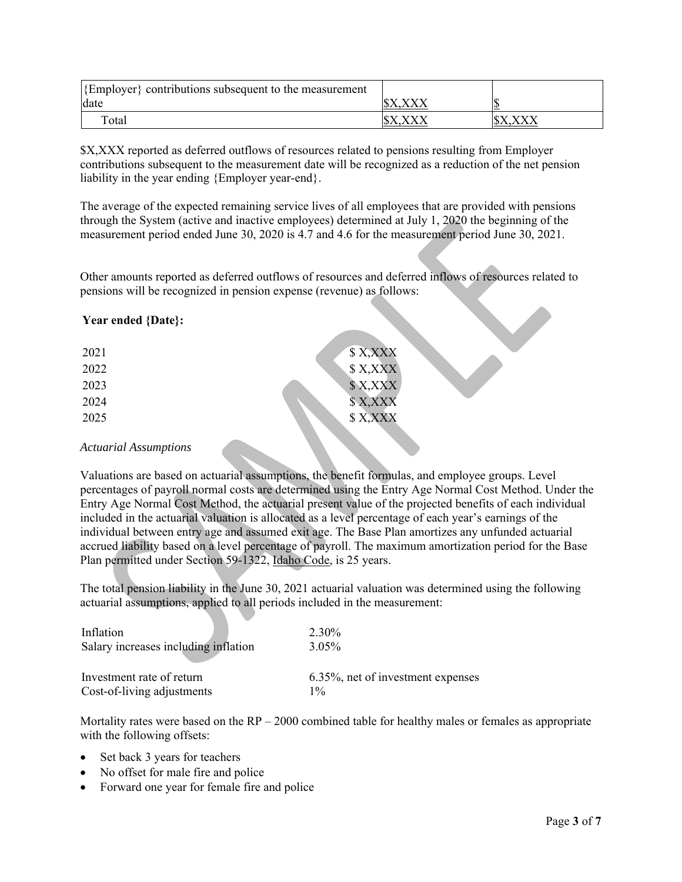| $\mathcal{E}$ Employer $\mathcal{E}$ contributions subsequent to the measurement |  |
|----------------------------------------------------------------------------------|--|
| date                                                                             |  |
| $\tau$ <sub>otal</sub>                                                           |  |

\$X,XXX reported as deferred outflows of resources related to pensions resulting from Employer contributions subsequent to the measurement date will be recognized as a reduction of the net pension liability in the year ending {Employer year-end}.

The average of the expected remaining service lives of all employees that are provided with pensions through the System (active and inactive employees) determined at July 1, 2020 the beginning of the measurement period ended June 30, 2020 is 4.7 and 4.6 for the measurement period June 30, 2021.

Other amounts reported as deferred outflows of resources and deferred inflows of resources related to pensions will be recognized in pension expense (revenue) as follows:

# **Year ended {Date}:**

| 2021 | \$X,XXX  |
|------|----------|
| 2022 | \$X, XXX |
| 2023 | \$X, XXX |
| 2024 | \$X,XXX  |
| 2025 | \$X,XXX  |
|      |          |

## *Actuarial Assumptions*

Valuations are based on actuarial assumptions, the benefit formulas, and employee groups. Level percentages of payroll normal costs are determined using the Entry Age Normal Cost Method. Under the Entry Age Normal Cost Method, the actuarial present value of the projected benefits of each individual included in the actuarial valuation is allocated as a level percentage of each year's earnings of the individual between entry age and assumed exit age. The Base Plan amortizes any unfunded actuarial accrued liability based on a level percentage of payroll. The maximum amortization period for the Base Plan permitted under Section 59-1322, Idaho Code, is 25 years.

The total pension liability in the June 30, 2021 actuarial valuation was determined using the following actuarial assumptions, applied to all periods included in the measurement:

| Inflation                            | 2.30%                                 |
|--------------------------------------|---------------------------------------|
| Salary increases including inflation | $3.05\%$                              |
| Investment rate of return            | $6.35\%$ , net of investment expenses |
| Cost-of-living adjustments           | $1\%$                                 |

Mortality rates were based on the  $RP - 2000$  combined table for healthy males or females as appropriate with the following offsets:

- Set back 3 years for teachers
- No offset for male fire and police
- Forward one year for female fire and police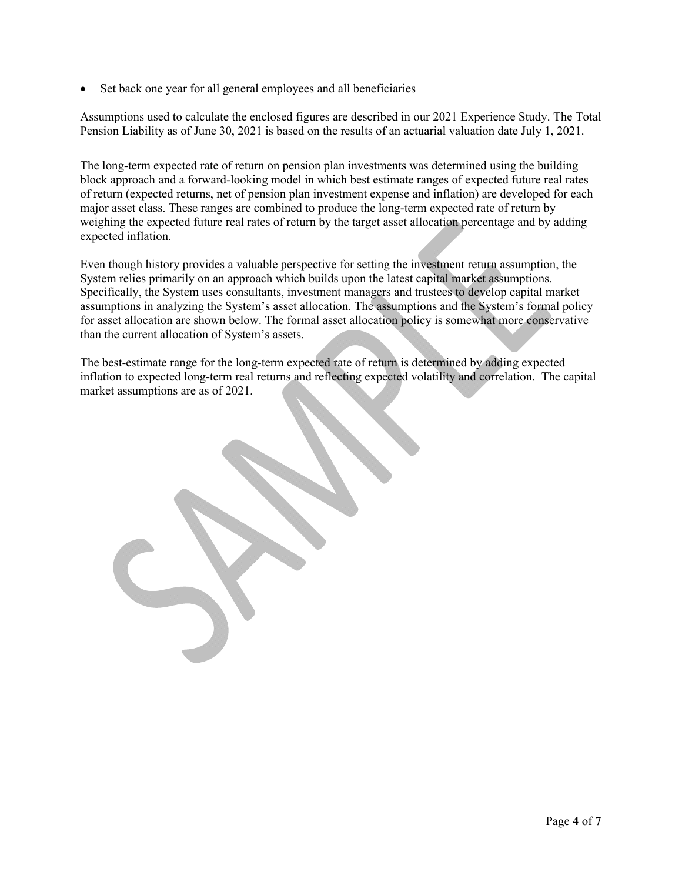• Set back one year for all general employees and all beneficiaries

Assumptions used to calculate the enclosed figures are described in our 2021 Experience Study. The Total Pension Liability as of June 30, 2021 is based on the results of an actuarial valuation date July 1, 2021.

The long-term expected rate of return on pension plan investments was determined using the building block approach and a forward-looking model in which best estimate ranges of expected future real rates of return (expected returns, net of pension plan investment expense and inflation) are developed for each major asset class. These ranges are combined to produce the long-term expected rate of return by weighing the expected future real rates of return by the target asset allocation percentage and by adding expected inflation.

Even though history provides a valuable perspective for setting the investment return assumption, the System relies primarily on an approach which builds upon the latest capital market assumptions. Specifically, the System uses consultants, investment managers and trustees to develop capital market assumptions in analyzing the System's asset allocation. The assumptions and the System's formal policy for asset allocation are shown below. The formal asset allocation policy is somewhat more conservative than the current allocation of System's assets.

The best-estimate range for the long-term expected rate of return is determined by adding expected inflation to expected long-term real returns and reflecting expected volatility and correlation. The capital market assumptions are as of 2021.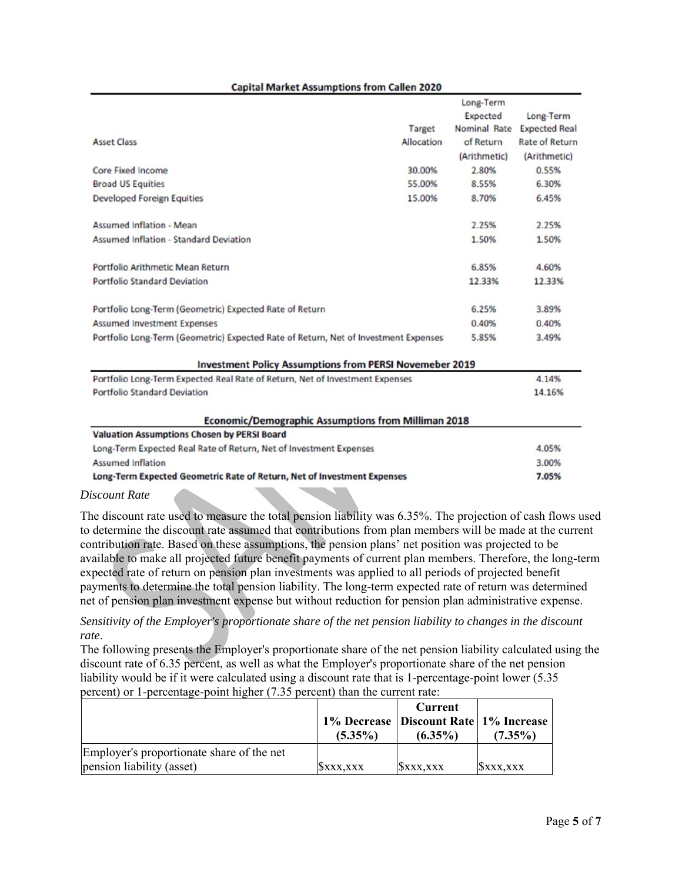#### **Capital Market Assumptions from Callen 2020**

|                                                                                              |               | Long-Term    |                       |
|----------------------------------------------------------------------------------------------|---------------|--------------|-----------------------|
|                                                                                              |               | Expected     | Long-Term             |
|                                                                                              | <b>Target</b> | Nominal Rate | <b>Expected Real</b>  |
| <b>Asset Class</b>                                                                           | Allocation    | of Return    | <b>Rate of Return</b> |
|                                                                                              |               | (Arithmetic) | (Arithmetic)          |
| Core Fixed Income                                                                            | 30.00%        | 2.80%        | 0.55%                 |
| <b>Broad US Equities</b>                                                                     | 55.00%        | 8.55%        | 6.30%                 |
| <b>Developed Foreign Equities</b>                                                            | 15.00%        | 8.70%        | 6.45%                 |
| <b>Assumed Inflation - Mean</b>                                                              |               | 2.25%        | 2.25%                 |
| <b>Assumed Inflation - Standard Deviation</b>                                                |               | 1.50%        | 1.50%                 |
| Portfolio Arithmetic Mean Return                                                             |               | 6.85%        | 4.60%                 |
| <b>Portfolio Standard Deviation</b>                                                          |               | 12.33%       | 12.33%                |
| Portfolio Long-Term (Geometric) Expected Rate of Return                                      |               | 6.25%        | 3.89%                 |
| <b>Assumed Investment Expenses</b>                                                           |               | 0.40%        | 0.40%                 |
| Portfolio Long-Term (Geometric) Expected Rate of Return, Net of Investment Expenses<br>5.85% |               |              | 3.49%                 |
| <b>Investment Policy Assumptions from PERSI Novemeber 2019</b>                               |               |              |                       |
| Portfolio Long-Term Expected Real Rate of Return, Net of Investment Expenses                 |               |              | 4.14%                 |
| <b>Portfolio Standard Deviation</b>                                                          |               |              | 14.16%                |
| <b>Economic/Demographic Assumptions from Milliman 2018</b>                                   |               |              |                       |
| <b>Valuation Assumptions Chosen by PERSI Board</b>                                           |               |              |                       |
| Long-Term Expected Real Rate of Return, Net of Investment Expenses                           |               |              | 4.05%                 |
| <b>Assumed Inflation</b>                                                                     |               |              | 3.00%                 |
| Long-Term Expected Geometric Rate of Return, Net of Investment Expenses                      |               |              | 7.05%                 |

#### *Discount Rate*

The discount rate used to measure the total pension liability was 6.35%. The projection of cash flows used to determine the discount rate assumed that contributions from plan members will be made at the current contribution rate. Based on these assumptions, the pension plans' net position was projected to be available to make all projected future benefit payments of current plan members. Therefore, the long-term expected rate of return on pension plan investments was applied to all periods of projected benefit payments to determine the total pension liability. The long-term expected rate of return was determined net of pension plan investment expense but without reduction for pension plan administrative expense.

*Sensitivity of the Employer's proportionate share of the net pension liability to changes in the discount rate*.

The following presents the Employer's proportionate share of the net pension liability calculated using the discount rate of 6.35 percent, as well as what the Employer's proportionate share of the net pension liability would be if it were calculated using a discount rate that is 1-percentage-point lower (5.35 percent) or 1-percentage-point higher (7.35 percent) than the current rate:

|                                           | $(5.35\%)$ | Current<br>1% Decrease   Discount Rate   1% Increase<br>$(6.35\%)$ | $(7.35\%)$ |
|-------------------------------------------|------------|--------------------------------------------------------------------|------------|
| Employer's proportionate share of the net |            |                                                                    |            |
| pension liability (asset)                 | SXXX.XXX   | SXXX.XXX                                                           | SXXX.XXX   |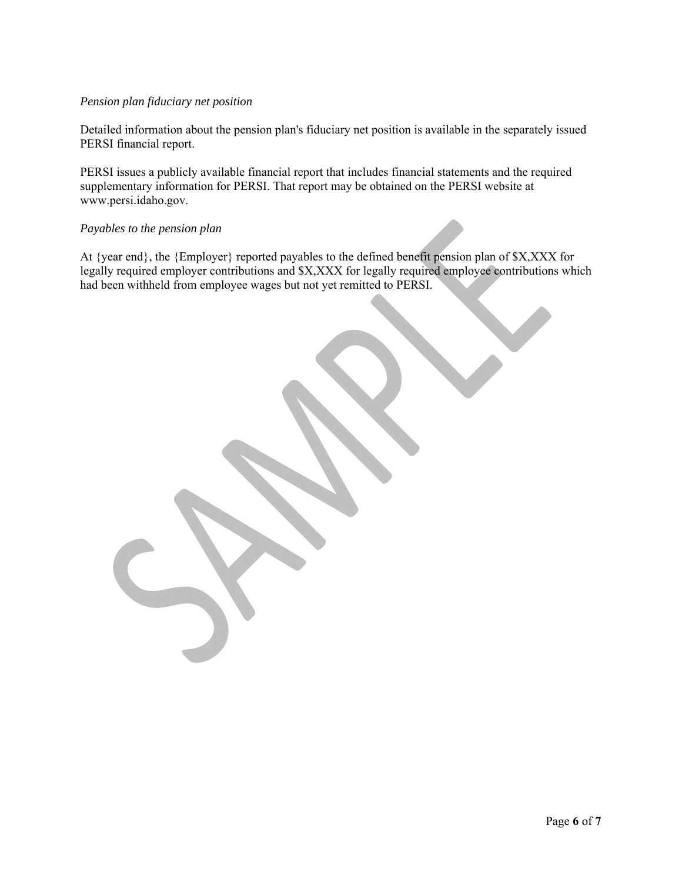# *Pension plan fiduciary net position*

Detailed information about the pension plan's fiduciary net position is available in the separately issued PERSI financial report.

PERSI issues a publicly available financial report that includes financial statements and the required supplementary information for PERSI. That report may be obtained on the PERSI website at www.persi.idaho.gov.

#### *Payables to the pension plan*

At {year end}, the {Employer} reported payables to the defined benefit pension plan of \$X,XXX for legally required employer contributions and \$X,XXX for legally required employee contributions which had been withheld from employee wages but not yet remitted to PERSI.